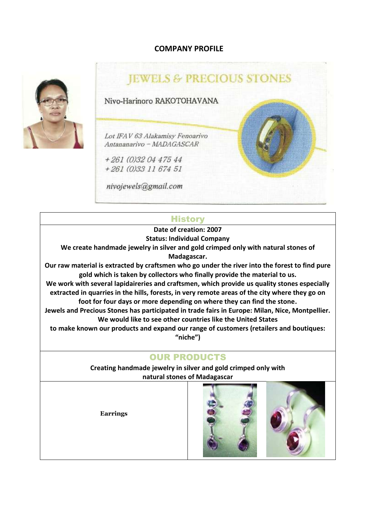## **COMPANY PROFILE**





## **History**

**Date of creation: 2007**

**Status: Individual Company**

**We create handmade jewelry in silver and gold crimped only with natural stones of Madagascar.**

**Our raw material is extracted by craftsmen who go under the river into the forest to find pure gold which is taken by collectors who finally provide the material to us.**

**We work with several lapidaireries and craftsmen, which provide us quality stones especially extracted in quarries in the hills, forests, in very remote areas of the city where they go on foot for four days or more depending on where they can find the stone.**

**Jewels and Precious Stones has participated in trade fairs in Europe: Milan, Nice, Montpellier. We would like to see other countries like the United States**

**to make known our products and expand our range of customers (retailers and boutiques: "niche")**

## OUR PRODUCTS

**Creating handmade jewelry in silver and gold crimped only with natural stones of Madagascar**

**Earrings**



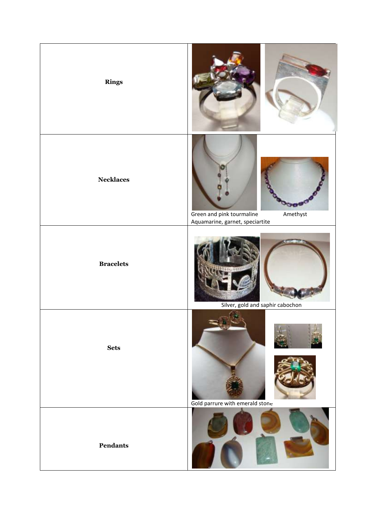